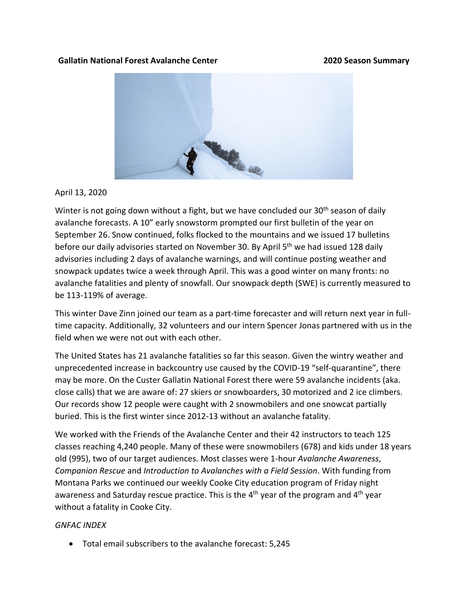## **Gallatin National Forest Avalanche Center 2020 Season Summary**



April 13, 2020

Winter is not going down without a fight, but we have concluded our 30<sup>th</sup> season of daily avalanche forecasts. A 10" early snowstorm prompted our first bulletin of the year on September 26. Snow continued, folks flocked to the mountains and we issued 17 bulletins before our daily advisories started on November 30. By April 5<sup>th</sup> we had issued 128 daily advisories including 2 days of avalanche warnings, and will continue posting weather and snowpack updates twice a week through April. This was a good winter on many fronts: no avalanche fatalities and plenty of snowfall. Our snowpack depth (SWE) is currently measured to be 113-119% of average.

This winter Dave Zinn joined our team as a part-time forecaster and will return next year in fulltime capacity. Additionally, 32 volunteers and our intern Spencer Jonas partnered with us in the field when we were not out with each other.

The United States has 21 avalanche fatalities so far this season. Given the wintry weather and unprecedented increase in backcountry use caused by the COVID-19 "self-quarantine", there may be more. On the Custer Gallatin National Forest there were 59 avalanche incidents (aka. close calls) that we are aware of: 27 skiers or snowboarders, 30 motorized and 2 ice climbers. Our records show 12 people were caught with 2 snowmobilers and one snowcat partially buried. This is the first winter since 2012-13 without an avalanche fatality.

We worked with the Friends of the Avalanche Center and their 42 instructors to teach 125 classes reaching 4,240 people. Many of these were snowmobilers (678) and kids under 18 years old (995), two of our target audiences. Most classes were 1-hour *Avalanche Awareness*, *Companion Rescue* and *Introduction to Avalanches with a Field Session*. With funding from Montana Parks we continued our weekly Cooke City education program of Friday night awareness and Saturday rescue practice. This is the 4<sup>th</sup> year of the program and 4<sup>th</sup> year without a fatality in Cooke City.

## *GNFAC INDEX*

• Total email subscribers to the avalanche forecast: 5,245